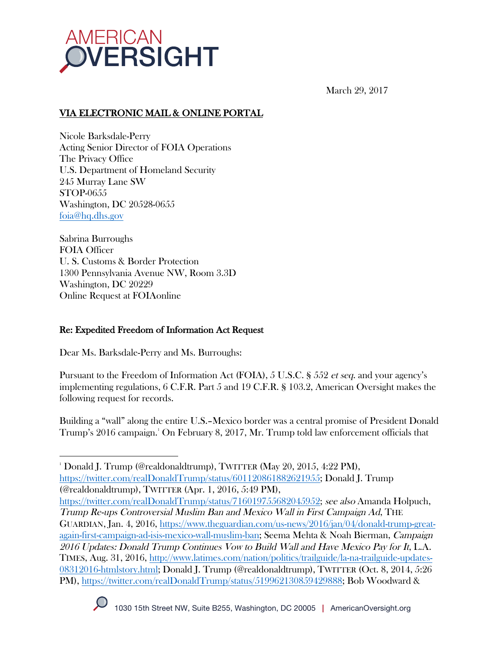

March 29, 2017

# VIA ELECTRONIC MAIL & ONLINE PORTAL

Nicole Barksdale-Perry Acting Senior Director of FOIA Operations The Privacy Office U.S. Department of Homeland Security 245 Murray Lane SW STOP-0655 Washington, DC 20528-0655 foia@hq.dhs.gov

Sabrina Burroughs FOIA Officer U. S. Customs & Border Protection 1300 Pennsylvania Avenue NW, Room 3.3D Washington, DC 20229 Online Request at FOIAonline

### Re: Expedited Freedom of Information Act Request

Dear Ms. Barksdale-Perry and Ms. Burroughs:

Pursuant to the Freedom of Information Act (FOIA), 5 U.S.C. § 552 et seq. and your agency's implementing regulations, 6 C.F.R. Part 5 and 19 C.F.R. § 103.2, American Oversight makes the following request for records.

Building a "wall" along the entire U.S.–Mexico border was a central promise of President Donald Trump's 2016 campaign.1 On February 8, 2017, Mr. Trump told law enforcement officials that

  $^{\textrm{\tiny{\rm{1}}}}$  Donald J. Trump (@realdonaldtrump), TWITTER (May 20, 2015, 4:22 PM), https://twitter.com/realDonaldTrump/status/601120861882621955; Donald J. Trump (@realdonaldtrump), TWITTER (Apr. 1, 2016, 5:49 PM),

https://twitter.com/realDonaldTrump/status/716019755682045952; see also Amanda Holpuch, Trump Re-ups Controversial Muslim Ban and Mexico Wall in First Campaign Ad, THE GUARDIAN, Jan. 4, 2016, https://www.theguardian.com/us-news/2016/jan/04/donald-trump-greatagain-first-campaign-ad-isis-mexico-wall-muslim-ban; Seema Mehta & Noah Bierman, Campaign 2016 Updates: Donald Trump Continues Vow to Build Wall and Have Mexico Pay for It, L.A. TIMES, Aug. 31, 2016, http://www.latimes.com/nation/politics/trailguide/la-na-trailguide-updates-08312016-htmlstory.html; Donald J. Trump (@realdonaldtrump), TWITTER (Oct. 8, 2014, 5:26 PM), https://twitter.com/realDonaldTrump/status/519962130859429888; Bob Woodward &

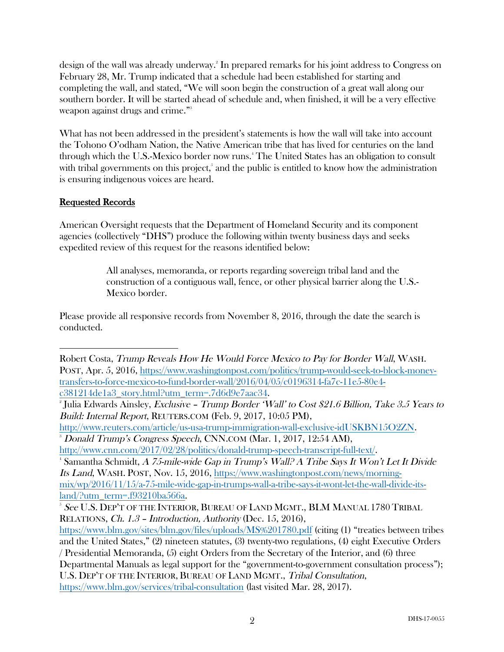design of the wall was already underway. 2 In prepared remarks for his joint address to Congress on February 28, Mr. Trump indicated that a schedule had been established for starting and completing the wall, and stated, "We will soon begin the construction of a great wall along our southern border. It will be started ahead of schedule and, when finished, it will be a very effective weapon against drugs and crime." 3

What has not been addressed in the president's statements is how the wall will take into account the Tohono O'odham Nation, the Native American tribe that has lived for centuries on the land through which the U.S.-Mexico border now runs. 4 The United States has an obligation to consult with tribal governments on this project,<sup>5</sup> and the public is entitled to know how the administration is ensuring indigenous voices are heard.

# Requested Records

American Oversight requests that the Department of Homeland Security and its component agencies (collectively "DHS") produce the following within twenty business days and seeks expedited review of this request for the reasons identified below:

> All analyses, memoranda, or reports regarding sovereign tribal land and the construction of a contiguous wall, fence, or other physical barrier along the U.S.- Mexico border.

Please provide all responsive records from November 8, 2016, through the date the search is conducted.

http://www.reuters.com/article/us-usa-trump-immigration-wall-exclusive-idUSKBN15O2ZN. 3 Donald Trump's Congress Speech, CNN.COM (Mar. 1, 2017, 12:54 AM),

http://www.cnn.com/2017/02/28/politics/donald-trump-speech-transcript-full-text/. 4

Samantha Schmidt, A 75-mile-wide Gap in Trump's Wall? A Tribe Says It Won't Let It Divide Its Land, WASH. POST, Nov. 15, 2016, https://www.washingtonpost.com/news/morningmix/wp/2016/11/15/a-75-mile-wide-gap-in-trumps-wall-a-tribe-says-it-wont-let-the-wall-divide-itsland/?utm\_term=.f93210ba566a.

 Robert Costa, Trump Reveals How He Would Force Mexico to Pay for Border Wall, WASH. POST, Apr. 5, 2016, https://www.washingtonpost.com/politics/trump-would-seek-to-block-moneytransfers-to-force-mexico-to-fund-border-wall/2016/04/05/c0196314-fa7c-11e5-80e4 c381214de1a3\_story.html?utm\_term=.7d6d9e7aac34.

<sup>&</sup>lt;sup>2</sup> Julia Edwards Ainsley, Exclusive - Trump Border 'Wall' to Cost \$21.6 Billion, Take 3.5 Years to Build: Internal Report, REUTERS.COM (Feb. 9, 2017, 10:05 PM),

 $^5$  See U.S. Dep't of the Interior, Bureau of Land Mgmt., BLM Manual 1780 Tribal RELATIONS, Ch. 1.3 – Introduction, Authority (Dec. 15, 2016),

https://www.blm.gov/sites/blm.gov/files/uploads/MS%201780.pdf (citing (1) "treaties between tribes and the United States," (2) nineteen statutes, (3) twenty-two regulations, (4) eight Executive Orders / Presidential Memoranda, (5) eight Orders from the Secretary of the Interior, and (6) three Departmental Manuals as legal support for the "government-to-government consultation process"); U.S. DEP'T OF THE INTERIOR, BUREAU OF LAND MGMT., Tribal Consultation,

https://www.blm.gov/services/tribal-consultation (last visited Mar. 28, 2017).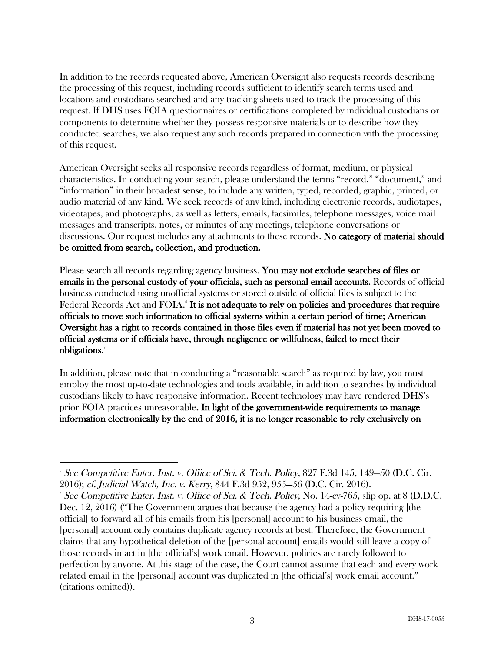In addition to the records requested above, American Oversight also requests records describing the processing of this request, including records sufficient to identify search terms used and locations and custodians searched and any tracking sheets used to track the processing of this request. If DHS uses FOIA questionnaires or certifications completed by individual custodians or components to determine whether they possess responsive materials or to describe how they conducted searches, we also request any such records prepared in connection with the processing of this request.

American Oversight seeks all responsive records regardless of format, medium, or physical characteristics. In conducting your search, please understand the terms "record," "document," and "information" in their broadest sense, to include any written, typed, recorded, graphic, printed, or audio material of any kind. We seek records of any kind, including electronic records, audiotapes, videotapes, and photographs, as well as letters, emails, facsimiles, telephone messages, voice mail messages and transcripts, notes, or minutes of any meetings, telephone conversations or discussions. Our request includes any attachments to these records. No category of material should be omitted from search, collection, and production.

Please search all records regarding agency business. You may not exclude searches of files or emails in the personal custody of your officials, such as personal email accounts. Records of official business conducted using unofficial systems or stored outside of official files is subject to the Federal Records Act and FOIA.<sup>6</sup> It is not adequate to rely on policies and procedures that require officials to move such information to official systems within a certain period of time; American Oversight has a right to records contained in those files even if material has not yet been moved to official systems or if officials have, through negligence or willfulness, failed to meet their obligations.<sup>7</sup>

In addition, please note that in conducting a "reasonable search" as required by law, you must employ the most up-to-date technologies and tools available, in addition to searches by individual custodians likely to have responsive information. Recent technology may have rendered DHS's prior FOIA practices unreasonable. In light of the government-wide requirements to manage information electronically by the end of 2016, it is no longer reasonable to rely exclusively on

  $\delta$  See Competitive Enter. Inst. v. Office of Sci. & Tech. Policy, 827 F.3d 145, 149–50 (D.C. Cir. 2016); cf. Judicial Watch, Inc. v. Kerry, 844 F.3d 952, 955—56 (D.C. Cir. 2016). 7

See Competitive Enter. Inst. v. Office of Sci. & Tech. Policy, No.  $14$ -cv-765, slip op. at 8 (D.D.C. Dec. 12, 2016) ("The Government argues that because the agency had a policy requiring [the official] to forward all of his emails from his [personal] account to his business email, the [personal] account only contains duplicate agency records at best. Therefore, the Government claims that any hypothetical deletion of the [personal account] emails would still leave a copy of those records intact in [the official's] work email. However, policies are rarely followed to perfection by anyone. At this stage of the case, the Court cannot assume that each and every work related email in the [personal] account was duplicated in [the official's] work email account." (citations omitted)).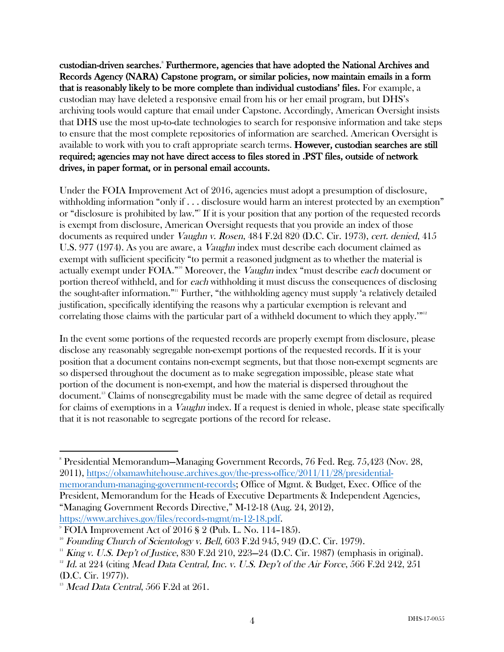custodian-driven searches.<sup>8</sup> Furthermore, agencies that have adopted the National Archives and Records Agency (NARA) Capstone program, or similar policies, now maintain emails in a form that is reasonably likely to be more complete than individual custodians' files. For example, a custodian may have deleted a responsive email from his or her email program, but DHS's archiving tools would capture that email under Capstone. Accordingly, American Oversight insists that DHS use the most up-to-date technologies to search for responsive information and take steps to ensure that the most complete repositories of information are searched. American Oversight is available to work with you to craft appropriate search terms. However, custodian searches are still required; agencies may not have direct access to files stored in .PST files, outside of network drives, in paper format, or in personal email accounts.

Under the FOIA Improvement Act of 2016, agencies must adopt a presumption of disclosure, withholding information "only if . . . disclosure would harm an interest protected by an exemption" or "disclosure is prohibited by law."9 If it is your position that any portion of the requested records is exempt from disclosure, American Oversight requests that you provide an index of those documents as required under Vaughn v. Rosen, 484 F.2d 820 (D.C. Cir. 1973), cert. denied, 415 U.S. 977 (1974). As you are aware, a *Vaughn* index must describe each document claimed as exempt with sufficient specificity "to permit a reasoned judgment as to whether the material is actually exempt under FOIA."<sup>10</sup> Moreover, the *Vaughn* index "must describe each document or portion thereof withheld, and for each withholding it must discuss the consequences of disclosing the sought-after information."11 Further, "the withholding agency must supply 'a relatively detailed justification, specifically identifying the reasons why a particular exemption is relevant and correlating those claims with the particular part of a withheld document to which they apply.'"<sup>12</sup>

In the event some portions of the requested records are properly exempt from disclosure, please disclose any reasonably segregable non-exempt portions of the requested records. If it is your position that a document contains non-exempt segments, but that those non-exempt segments are so dispersed throughout the document as to make segregation impossible, please state what portion of the document is non-exempt, and how the material is dispersed throughout the document.13 Claims of nonsegregability must be made with the same degree of detail as required for claims of exemptions in a *Vaughn* index. If a request is denied in whole, please state specifically that it is not reasonable to segregate portions of the record for release.

 

<sup>8</sup> Presidential Memorandum—Managing Government Records, 76 Fed. Reg. 75,423 (Nov. 28, 2011), https://obamawhitehouse.archives.gov/the-press-office/2011/11/28/presidentialmemorandum-managing-government-records; Office of Mgmt. & Budget, Exec. Office of the President, Memorandum for the Heads of Executive Departments & Independent Agencies, "Managing Government Records Directive," M-12-18 (Aug. 24, 2012), https://www.archives.gov/files/records-mgmt/m-12-18.pdf.

 $\degree$  FOIA Improvement Act of 2016 § 2 (Pub. L. No. 114–185).

 $10^{\circ}$  Founding Church of Scientology v. Bell, 603 F.2d 945, 949 (D.C. Cir. 1979).

 $11$  King v. U.S. Dep't of Justice, 830 F.2d 210, 223–24 (D.C. Cir. 1987) (emphasis in original).

 $12$  Id. at 224 (citing Mead Data Central, Inc. v. U.S. Dep't of the Air Force, 566 F.2d 242, 251 (D.C. Cir. 1977)).

 $13$  Mead Data Central, 566 F.2d at 261.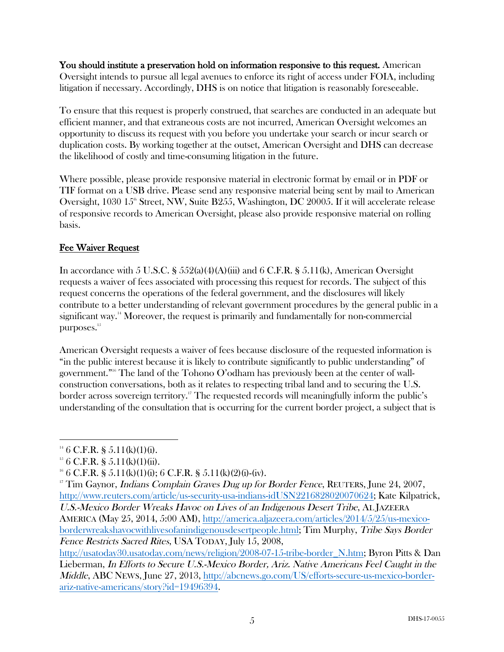You should institute a preservation hold on information responsive to this request. American Oversight intends to pursue all legal avenues to enforce its right of access under FOIA, including litigation if necessary. Accordingly, DHS is on notice that litigation is reasonably foreseeable.

To ensure that this request is properly construed, that searches are conducted in an adequate but efficient manner, and that extraneous costs are not incurred, American Oversight welcomes an opportunity to discuss its request with you before you undertake your search or incur search or duplication costs. By working together at the outset, American Oversight and DHS can decrease the likelihood of costly and time-consuming litigation in the future.

Where possible, please provide responsive material in electronic format by email or in PDF or TIF format on a USB drive. Please send any responsive material being sent by mail to American Oversight, 1030  $15^{\circ}$  Street, NW, Suite B255, Washington, DC 20005. If it will accelerate release of responsive records to American Oversight, please also provide responsive material on rolling basis.

# Fee Waiver Request

In accordance with 5 U.S.C. §  $552(a)(4)(A)(iii)$  and 6 C.F.R. §  $5.11(k)$ , American Oversight requests a waiver of fees associated with processing this request for records. The subject of this request concerns the operations of the federal government, and the disclosures will likely contribute to a better understanding of relevant government procedures by the general public in a significant way.<sup>14</sup> Moreover, the request is primarily and fundamentally for non-commercial purposes.<sup>15</sup>

American Oversight requests a waiver of fees because disclosure of the requested information is "in the public interest because it is likely to contribute significantly to public understanding" of government." <sup>16</sup> The land of the Tohono O'odham has previously been at the center of wallconstruction conversations, both as it relates to respecting tribal land and to securing the U.S. border across sovereign territory. <sup>17</sup> The requested records will meaningfully inform the public's understanding of the consultation that is occurring for the current border project, a subject that is

borderwreakshavocwithlivesofanindigenousdesertpeople.html; Tim Murphy, Tribe Says Border Fence Restricts Sacred Rites, USA TODAY, July 15, 2008,

  $146$  C.F.R. § 5.11(k)(1)(i).

 $15$  6 C.F.R. § 5.11(k)(1)(ii).

<sup>&</sup>lt;sup>16</sup> 6 C.F.R. § 5.11(k)(1)(i); 6 C.F.R. § 5.11(k)(2)(i)-(iv).

<sup>&</sup>lt;sup>17</sup> Tim Gaynor, *Indians Complain Graves Dug up for Border Fence*, REUTERS, June 24, 2007, http://www.reuters.com/article/us-security-usa-indians-idUSN2216828020070624; Kate Kilpatrick, U.S.-Mexico Border Wreaks Havoc on Lives of an Indigenous Desert Tribe, AL JAZEERA AMERICA (May 25, 2014, 5:00 AM), http://america.aljazeera.com/articles/2014/5/25/us-mexico-

http://usatoday30.usatoday.com/news/religion/2008-07-15-tribe-border\_N.htm; Byron Pitts & Dan Lieberman, In Efforts to Secure U.S.-Mexico Border, Ariz. Native Americans Feel Caught in the Middle, ABC NEWS, June 27, 2013, http://abcnews.go.com/US/efforts-secure-us-mexico-borderariz-native-americans/story?id=19496394.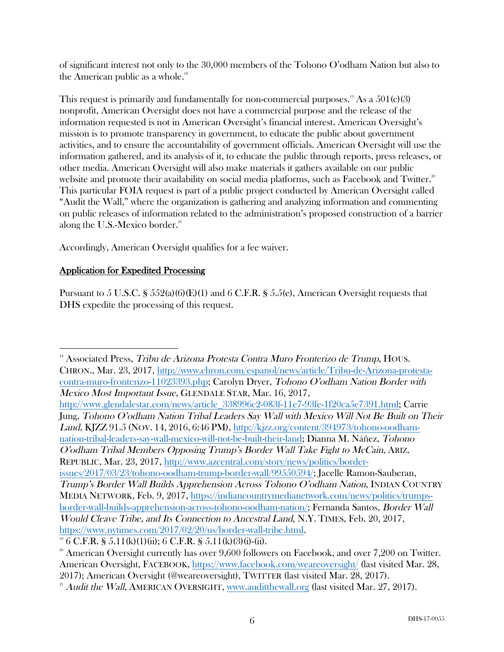of significant interest not only to the 30,000 members of the Tohono O'odham Nation but also to the American public as a whole. $18$ 

This request is primarily and fundamentally for non-commercial purposes.<sup>19</sup> As a  $501(c)(3)$ nonprofit, American Oversight does not have a commercial purpose and the release of the information requested is not in American Oversight's financial interest. American Oversight's mission is to promote transparency in government, to educate the public about government activities, and to ensure the accountability of government officials. American Oversight will use the information gathered, and its analysis of it, to educate the public through reports, press releases, or other media. American Oversight will also make materials it gathers available on our public website and promote their availability on social media platforms, such as Facebook and Twitter.<sup>20</sup> This particular FOIA request is part of a public project conducted by American Oversight called "Audit the Wall," where the organization is gathering and analyzing information and commenting on public releases of information related to the administration's proposed construction of a barrier along the U.S.-Mexico border. $21$ 

Accordingly, American Oversight qualifies for a fee waiver.

### Application for Expedited Processing

 

Pursuant to 5 U.S.C. §  $552(a)(6)(E)(1)$  and 6 C.F.R. § 5.5(e), American Oversight requests that DHS expedite the processing of this request.

<sup>18</sup> Associated Press, Tribu de Arizona Protesta Contra Muro Fronterizo de Trump, HOUS. CHRON., Mar. 23, 2017, http://www.chron.com/espanol/news/article/Tribu-de-Arizona-protestacontra-muro-fronterizo-11023393.php; Carolyn Dryer, Tohono O'odham Nation Border with Mexico Most Important Issue, GLENDALE STAR, Mar. 16, 2017, http://www.glendalestar.com/news/article\_338996c2-083f-11e7-93fe-1f20ca5e7391.html; Carrie Jung, Tohono O'odham Nation Tribal Leaders Say Wall with Mexico Will Not Be Built on Their Land, KJZZ 91.5 (NOV. 14, 2016, 6:46 PM), http://kjzz.org/content/394973/tohono-oodhamnation-tribal-leaders-say-wall-mexico-will-not-be-built-their-land; Dianna M. Náñez, Tohono O'odham Tribal Members Opposing Trump's Border Wall Take Fight to McCain, ARIZ. REPUBLIC, Mar. 23, 2017, http://www.azcentral.com/story/news/politics/borderissues/2017/03/23/tohono-oodham-trump-border-wall/99550594/; Jacelle Ramon-Sauberan, Trump's Border Wall Builds Apprehension Across Tohono O'odham Nation, INDIAN COUNTRY MEDIA NETWORK, Feb. 9, 2017, https://indiancountrymedianetwork.com/news/politics/trumpsborder-wall-builds-apprehension-across-tohono-oodham-nation/; Fernanda Santos, Border Wall Would Cleave Tribe, and Its Connection to Ancestral Land, N.Y. TIMES, Feb. 20, 2017, https://www.nytimes.com/2017/02/20/us/border-wall-tribe.html.

 $19^{\circ}$  6 C.F.R. § 5.11(k)(1)(ii); 6 C.F.R. § 5.11(k)(3)(i)-(ii).

 $20$ <sup>20</sup> American Oversight currently has over 9,600 followers on Facebook, and over 7,200 on Twitter. American Oversight, FACEBOOK, https://www.facebook.com/weareoversight/ (last visited Mar. 28, 2017); American Oversight (@weareoversight), TWITTER (last visited Mar. 28, 2017).

<sup>&</sup>lt;sup>21</sup> Audit the Wall, AMERICAN OVERSIGHT, www.auditthewall.org (last visited Mar. 27, 2017).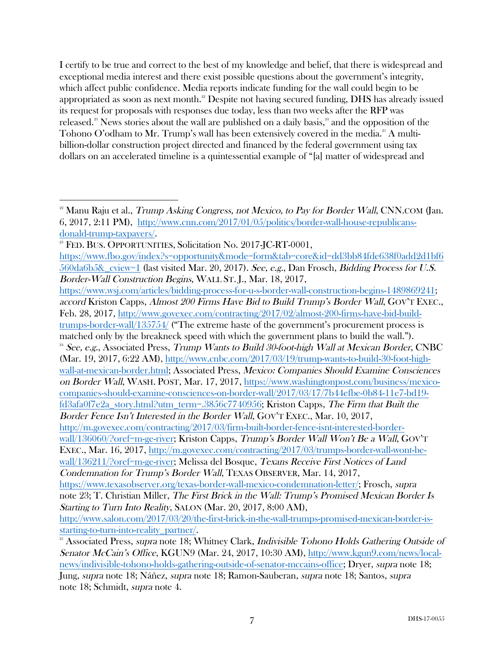I certify to be true and correct to the best of my knowledge and belief, that there is widespread and exceptional media interest and there exist possible questions about the government's integrity, which affect public confidence. Media reports indicate funding for the wall could begin to be appropriated as soon as next month." Despite not having secured funding, DHS has already issued its request for proposals with responses due today, less than two weeks after the RFP was released. <sup>23</sup> News stories about the wall are published on a daily basis, <sup>24</sup> and the opposition of the Tohono O'odham to Mr. Trump's wall has been extensively covered in the media.<sup>25</sup> A multibillion-dollar construction project directed and financed by the federal government using tax dollars on an accelerated timeline is a quintessential example of "[a] matter of widespread and

 

 $^{22}$  Manu Raju et al., *Trump Asking Congress, not Mexico, to Pay for Border Wall*, CNN.COM (Jan. 6, 2017, 2:11 PM), http://www.cnn.com/2017/01/05/politics/border-wall-house-republicansdonald-trump-taxpayers/.<br><sup>23</sup> FED. BUS. OPPORTUNITIES, Solicitation No. 2017-JC-RT-0001,

https://www.fbo.gov/index?s=opportunity&mode=form&tab=core&id=dd3bb84fde638f0add2d1bf6 560da6b5&\_cview=1 (last visited Mar. 20, 2017). See, e.g., Dan Frosch, Bidding Process for U.S. Border-Wall Construction Begins, WALL ST. J., Mar. 18, 2017,

https://www.wsj.com/articles/bidding-process-for-u-s-border-wall-construction-begins-1489869241; accord Kriston Capps, Almost 200 Firms Have Bid to Build Trump's Border Wall, GOV'T EXEC., Feb. 28, 2017, http://www.govexec.com/contracting/2017/02/almost-200-firms-have-bid-buildtrumps-border-wall/135754/ ("The extreme haste of the government's procurement process is matched only by the breakneck speed with which the government plans to build the wall.").  $24$  See, e.g., Associated Press, Trump Wants to Build 30-foot-high Wall at Mexican Border, CNBC (Mar. 19, 2017, 6:22 AM), http://www.cnbc.com/2017/03/19/trump-wants-to-build-30-foot-highwall-at-mexican-border.html; Associated Press, Mexico: Companies Should Examine Consciences on Border Wall, WASH. POST, Mar. 17, 2017, https://www.washingtonpost.com/business/mexicocompanies-should-examine-consciences-on-border-wall/2017/03/17/7b44efbe-0b84-11e7-bd19 fd3afa0f7e2a\_story.html?utm\_term=.3856c7740956; Kriston Capps, The Firm that Built the Border Fence Isn't Interested in the Border Wall, GOV'T EXEC., Mar. 10, 2017, http://m.govexec.com/contracting/2017/03/firm-built-border-fence-isnt-interested-borderwall/136060/?oref=m-ge-river; Kriston Capps, Trump's Border Wall Won't Be a Wall, GOV'T EXEC., Mar. 16, 2017, http://m.govexec.com/contracting/2017/03/trumps-border-wall-wont-bewall/136211/?oref=m-ge-river; Melissa del Bosque, Texans Receive First Notices of Land Condemnation for Trump's Border Wall, TEXAS OBSERVER, Mar. 14, 2017, https://www.texasobserver.org/texas-border-wall-mexico-condemnation-letter/; Frosch, supra note 23; T. Christian Miller, The First Brick in the Wall: Trump's Promised Mexican Border Is Starting to Turn Into Reality, SALON (Mar. 20, 2017, 8:00 AM), http://www.salon.com/2017/03/20/the-first-brick-in-the-wall-trumps-promised-mexican-border-isstarting-to-turn-into-reality\_partner/. <sup>25</sup> Associated Press, supra note 18; Whitney Clark, Indivisible Tohono Holds Gathering Outside of

Senator McCain's Office, KGUN9 (Mar. 24, 2017, 10:30 AM), http://www.kgun9.com/news/localnews/indivisible-tohono-holds-gathering-outside-of-senator-mccains-office; Dryer, supra note 18; Jung, supra note 18; Náñez, supra note 18; Ramon-Sauberan, supra note 18; Santos, supra note 18; Schmidt, supra note 4.